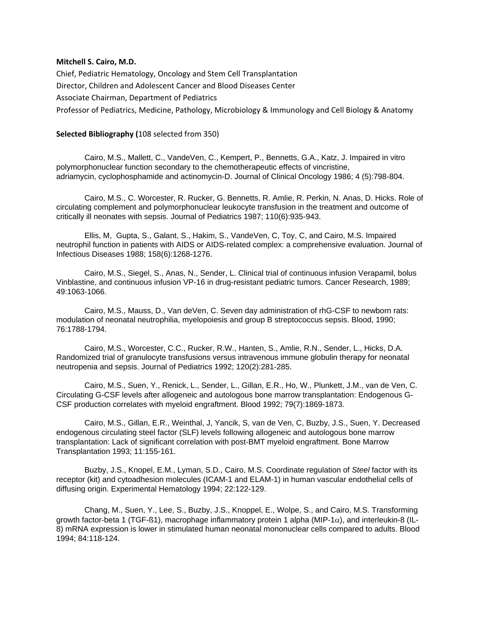## **Mitchell S. Cairo, M.D.**

Chief, Pediatric Hematology, Oncology and Stem Cell Transplantation Director, Children and Adolescent Cancer and Blood Diseases Center Associate Chairman, Department of Pediatrics Professor of Pediatrics, Medicine, Pathology, Microbiology & Immunology and Cell Biology & Anatomy

## **Selected Bibliography (**108 selected from 350)

 Cairo, M.S., Mallett, C., VandeVen, C., Kempert, P., Bennetts, G.A., Katz, J. Impaired in vitro polymorphonuclear function secondary to the chemotherapeutic effects of vincristine, adriamycin, cyclophosphamide and actinomycin-D. Journal of Clinical Oncology 1986; 4 (5):798-804.

 Cairo, M.S., C. Worcester, R. Rucker, G. Bennetts, R. Amlie, R. Perkin, N. Anas, D. Hicks. Role of circulating complement and polymorphonuclear leukocyte transfusion in the treatment and outcome of critically ill neonates with sepsis. Journal of Pediatrics 1987; 110(6):935-943.

 Ellis, M, Gupta, S., Galant, S., Hakim, S., VandeVen, C, Toy, C, and Cairo, M.S. Impaired neutrophil function in patients with AIDS or AIDS-related complex: a comprehensive evaluation. Journal of Infectious Diseases 1988; 158(6):1268-1276.

 Cairo, M.S., Siegel, S., Anas, N., Sender, L. Clinical trial of continuous infusion Verapamil, bolus Vinblastine, and continuous infusion VP-16 in drug-resistant pediatric tumors. Cancer Research, 1989; 49:1063-1066.

 Cairo, M.S., Mauss, D., Van deVen, C. Seven day administration of rhG-CSF to newborn rats: modulation of neonatal neutrophilia, myelopoiesis and group B streptococcus sepsis. Blood, 1990; 76:1788-1794.

 Cairo, M.S., Worcester, C.C., Rucker, R.W., Hanten, S., Amlie, R.N., Sender, L., Hicks, D.A. Randomized trial of granulocyte transfusions versus intravenous immune globulin therapy for neonatal neutropenia and sepsis. Journal of Pediatrics 1992; 120(2):281-285.

 Cairo, M.S., Suen, Y., Renick, L., Sender, L., Gillan, E.R., Ho, W., Plunkett, J.M., van de Ven, C. Circulating G-CSF levels after allogeneic and autologous bone marrow transplantation: Endogenous G-CSF production correlates with myeloid engraftment. Blood 1992; 79(7):1869-1873.

 Cairo, M.S., Gillan, E.R., Weinthal, J, Yancik, S, van de Ven, C, Buzby, J.S., Suen, Y. Decreased endogenous circulating steel factor (SLF) levels following allogeneic and autologous bone marrow transplantation: Lack of significant correlation with post-BMT myeloid engraftment. Bone Marrow Transplantation 1993; 11:155-161.

 Buzby, J.S., Knopel, E.M., Lyman, S.D., Cairo, M.S. Coordinate regulation of *Steel* factor with its receptor (kit) and cytoadhesion molecules (ICAM-1 and ELAM-1) in human vascular endothelial cells of diffusing origin. Experimental Hematology 1994; 22:122-129.

 Chang, M., Suen, Y., Lee, S., Buzby, J.S., Knoppel, E., Wolpe, S., and Cairo, M.S. Transforming growth factor-beta 1 (TGF- $\beta$ 1), macrophage inflammatory protein 1 alpha (MIP-1 $\alpha$ ), and interleukin-8 (IL-8) mRNA expression is lower in stimulated human neonatal mononuclear cells compared to adults. Blood 1994; 84:118-124.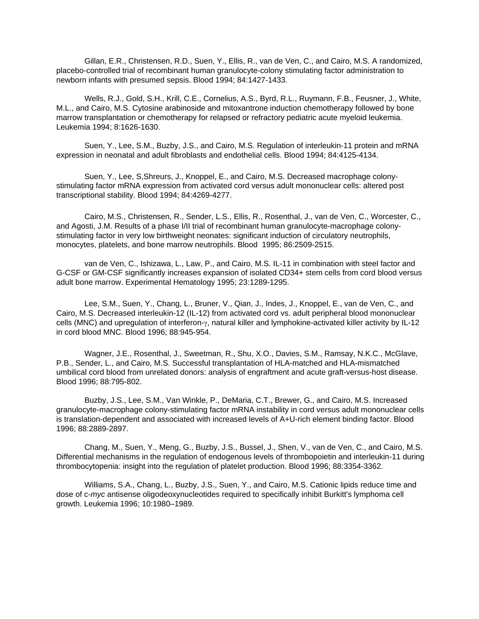Gillan, E.R., Christensen, R.D., Suen, Y., Ellis, R., van de Ven, C., and Cairo, M.S. A randomized, placebo-controlled trial of recombinant human granulocyte-colony stimulating factor administration to newborn infants with presumed sepsis. Blood 1994; 84:1427-1433.

 Wells, R.J., Gold, S.H., Krill, C.E., Cornelius, A.S., Byrd, R.L., Ruymann, F.B., Feusner, J., White, M.L., and Cairo, M.S. Cytosine arabinoside and mitoxantrone induction chemotherapy followed by bone marrow transplantation or chemotherapy for relapsed or refractory pediatric acute myeloid leukemia. Leukemia 1994; 8:1626-1630.

 Suen, Y., Lee, S.M., Buzby, J.S., and Cairo, M.S. Regulation of interleukin-11 protein and mRNA expression in neonatal and adult fibroblasts and endothelial cells. Blood 1994; 84:4125-4134.

 Suen, Y., Lee, S,Shreurs, J., Knoppel, E., and Cairo, M.S. Decreased macrophage colonystimulating factor mRNA expression from activated cord versus adult mononuclear cells: altered post transcriptional stability. Blood 1994; 84:4269-4277.

 Cairo, M.S., Christensen, R., Sender, L.S., Ellis, R., Rosenthal, J., van de Ven, C., Worcester, C., and Agosti, J.M. Results of a phase I/II trial of recombinant human granulocyte-macrophage colonystimulating factor in very low birthweight neonates: significant induction of circulatory neutrophils, monocytes, platelets, and bone marrow neutrophils. Blood 1995; 86:2509-2515.

 van de Ven, C., Ishizawa, L., Law, P., and Cairo, M.S. IL-11 in combination with steel factor and G-CSF or GM-CSF significantly increases expansion of isolated CD34+ stem cells from cord blood versus adult bone marrow. Experimental Hematology 1995; 23:1289-1295.

 Lee, S.M., Suen, Y., Chang, L., Bruner, V., Qian, J., Indes, J., Knoppel, E., van de Ven, C., and Cairo, M.S. Decreased interleukin-12 (IL-12) from activated cord vs. adult peripheral blood mononuclear cells (MNC) and upregulation of interferon-y, natural killer and lymphokine-activated killer activity by IL-12 in cord blood MNC. Blood 1996; 88:945-954.

 Wagner, J.E., Rosenthal, J., Sweetman, R., Shu, X.O., Davies, S.M., Ramsay, N.K.C., McGlave, P.B., Sender, L., and Cairo, M.S. Successful transplantation of HLA-matched and HLA-mismatched umbilical cord blood from unrelated donors: analysis of engraftment and acute graft-versus-host disease. Blood 1996; 88:795-802.

 Buzby, J.S., Lee, S.M., Van Winkle, P., DeMaria, C.T., Brewer, G., and Cairo, M.S. Increased granulocyte-macrophage colony-stimulating factor mRNA instability in cord versus adult mononuclear cells is translation-dependent and associated with increased levels of A+U-rich element binding factor. Blood 1996; 88:2889-2897.

 Chang, M., Suen, Y., Meng, G., Buzby, J.S., Bussel, J., Shen, V., van de Ven, C., and Cairo, M.S. Differential mechanisms in the regulation of endogenous levels of thrombopoietin and interleukin-11 during thrombocytopenia: insight into the regulation of platelet production. Blood 1996; 88:3354-3362.

 Williams, S.A., Chang, L., Buzby, J.S., Suen, Y., and Cairo, M.S. Cationic lipids reduce time and dose of c-*myc* antisense oligodeoxynucleotides required to specifically inhibit Burkitt's lymphoma cell growth. Leukemia 1996; 10:1980–1989.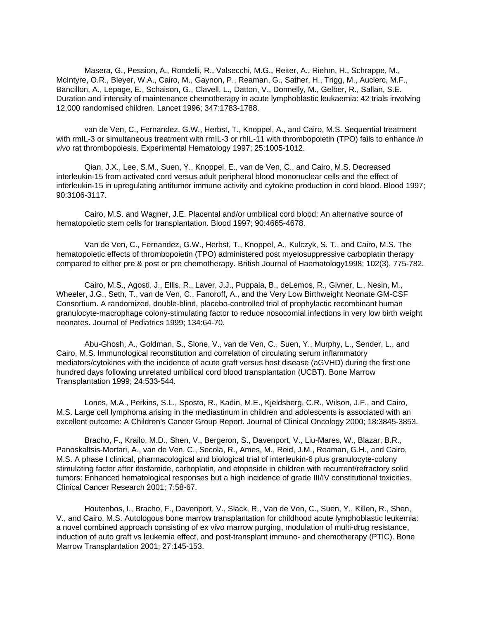Masera, G., Pession, A., Rondelli, R., Valsecchi, M.G., Reiter, A., Riehm, H., Schrappe, M., McIntyre, O.R., Bleyer, W.A., Cairo, M., Gaynon, P., Reaman, G., Sather, H., Trigg, M., Auclerc, M.F., Bancillon, A., Lepage, E., Schaison, G., Clavell, L., Datton, V., Donnelly, M., Gelber, R., Sallan, S.E. Duration and intensity of maintenance chemotherapy in acute lymphoblastic leukaemia: 42 trials involving 12,000 randomised children. Lancet 1996; 347:1783-1788.

 van de Ven, C., Fernandez, G.W., Herbst, T., Knoppel, A., and Cairo, M.S. Sequential treatment with rmIL-3 or simultaneous treatment with rmIL-3 or rhIL-11 with thrombopoietin (TPO) fails to enhance *in vivo* rat thrombopoiesis. Experimental Hematology 1997; 25:1005-1012.

 Qian, J.X., Lee, S.M., Suen, Y., Knoppel, E., van de Ven, C., and Cairo, M.S. Decreased interleukin-15 from activated cord versus adult peripheral blood mononuclear cells and the effect of interleukin-15 in upregulating antitumor immune activity and cytokine production in cord blood. Blood 1997; 90:3106-3117.

 Cairo, M.S. and Wagner, J.E. Placental and/or umbilical cord blood: An alternative source of hematopoietic stem cells for transplantation. Blood 1997; 90:4665-4678.

 Van de Ven, C., Fernandez, G.W., Herbst, T., Knoppel, A., Kulczyk, S. T., and Cairo, M.S. The hematopoietic effects of thrombopoietin (TPO) administered post myelosuppressive carboplatin therapy compared to either pre & post or pre chemotherapy. British Journal of Haematology1998; 102(3), 775-782.

 Cairo, M.S., Agosti, J., Ellis, R., Laver, J.J., Puppala, B., deLemos, R., Givner, L., Nesin, M., Wheeler, J.G., Seth, T., van de Ven, C., Fanoroff, A., and the Very Low Birthweight Neonate GM-CSF Consortium. A randomized, double-blind, placebo-controlled trial of prophylactic recombinant human granulocyte-macrophage colony-stimulating factor to reduce nosocomial infections in very low birth weight neonates. Journal of Pediatrics 1999; 134:64-70.

 Abu-Ghosh, A., Goldman, S., Slone, V., van de Ven, C., Suen, Y., Murphy, L., Sender, L., and Cairo, M.S. Immunological reconstitution and correlation of circulating serum inflammatory mediators/cytokines with the incidence of acute graft versus host disease (aGVHD) during the first one hundred days following unrelated umbilical cord blood transplantation (UCBT). Bone Marrow Transplantation 1999; 24:533-544.

 Lones, M.A., Perkins, S.L., Sposto, R., Kadin, M.E., Kjeldsberg, C.R., Wilson, J.F., and Cairo, M.S. Large cell lymphoma arising in the mediastinum in children and adolescents is associated with an excellent outcome: A Children's Cancer Group Report. Journal of Clinical Oncology 2000; 18:3845-3853.

 Bracho, F., Krailo, M.D., Shen, V., Bergeron, S., Davenport, V., Liu-Mares, W., Blazar, B.R., Panoskaltsis-Mortari, A., van de Ven, C., Secola, R., Ames, M., Reid, J.M., Reaman, G.H., and Cairo, M.S. A phase I clinical, pharmacological and biological trial of interleukin-6 plus granulocyte-colony stimulating factor after ifosfamide, carboplatin, and etoposide in children with recurrent/refractory solid tumors: Enhanced hematological responses but a high incidence of grade III/IV constitutional toxicities. Clinical Cancer Research 2001; 7:58-67.

 Houtenbos, I., Bracho, F., Davenport, V., Slack, R., Van de Ven, C., Suen, Y., Killen, R., Shen, V., and Cairo, M.S. Autologous bone marrow transplantation for childhood acute lymphoblastic leukemia: a novel combined approach consisting of ex vivo marrow purging, modulation of multi-drug resistance, induction of auto graft vs leukemia effect, and post-transplant immuno- and chemotherapy (PTIC). Bone Marrow Transplantation 2001; 27:145-153.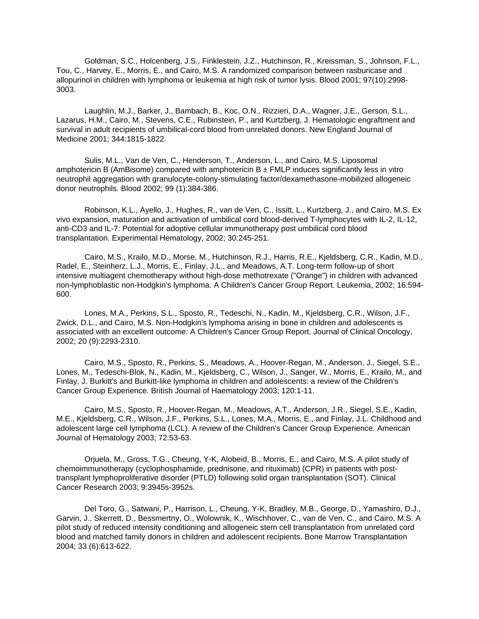Goldman, S.C., Holcenberg, J.S., Finklestein, J.Z., Hutchinson, R., Kreissman, S., Johnson, F.L., Tou, C., Harvey, E., Morris, E., and Cairo, M.S. A randomized comparison between rasburicase and allopurinol in children with lymphoma or leukemia at high risk of tumor lysis. Blood 2001; 97(10):2998- 3003.

 Laughlin, M.J., Barker, J., Bambach, B., Koc, O.N., Rizzieri, D.A., Wagner, J.E., Gerson, S.L., Lazarus, H.M., Cairo, M., Stevens, C.E., Rubinstein, P., and Kurtzberg, J. Hematologic engraftment and survival in adult recipients of umbilical-cord blood from unrelated donors. New England Journal of Medicine 2001; 344:1815-1822.

Sulis, M.L., Van de Ven, C., Henderson, T., Anderson, L., and Cairo, M.S. Liposomal amphotericin B (AmBisome) compared with amphotericin  $B \pm FMLP$  induces significantly less in vitro neutrophil aggregation with granulocyte-colony-stimulating factor/dexamethasone-mobilized allogeneic donor neutrophils. Blood 2002; 99 (1):384-386.

 Robinson, K.L., Ayello, J., Hughes, R., van de Ven, C., Issitt, L., Kurtzberg, J., and Cairo, M.S. Ex vivo expansion, maturation and activation of umbilical cord blood-derived T-lymphocytes with IL-2, IL-12, anti-CD3 and IL-7: Potential for adoptive cellular immunotherapy post umbilical cord blood transplantation. Experimental Hematology, 2002; 30:245-251.

 Cairo, M.S., Krailo, M.D., Morse, M., Hutchinson, R.J., Harris, R.E., Kjeldsberg, C.R., Kadin, M.D., Radel, E., Steinherz, L.J., Morris, E., Finlay, J.L., and Meadows, A.T. Long-term follow-up of short intensive multiagent chemotherapy without high-dose methotrexate ("Orange") in children with advanced non-lymphoblastic non-Hodgkin's lymphoma. A Children's Cancer Group Report. Leukemia, 2002; 16:594- 600.

 Lones, M.A., Perkins, S.L., Sposto, R., Tedeschi, N., Kadin, M., Kjeldsberg, C.R., Wilson, J.F., Zwick, D.L., and Cairo, M.S. Non-Hodgkin's lymphoma arising in bone in children and adolescents is associated with an excellent outcome: A Children's Cancer Group Report. Journal of Clinical Oncology, 2002; 20 (9):2293-2310.

Cairo, M.S., Sposto, R., Perkins, S., Meadows, A., Hoover-Regan, M., Anderson, J., Siegel, S.E., Lones, M., Tedeschi-Blok, N., Kadin, M., Kjeldsberg, C., Wilson, J., Sanger, W., Morris, E., Krailo, M., and Finlay, J. Burkitt's and Burkitt-like lymphoma in children and adolescents: a review of the Children's Cancer Group Experience. British Journal of Haematology 2003; 120:1-11.

 Cairo, M.S., Sposto, R., Hoover-Regan, M., Meadows, A.T., Anderson, J.R., Siegel, S.E., Kadin, M.E., Kjeldsberg, C.R., Wilson, J.F., Perkins, S.L., Lones, M.A., Morris, E., and Finlay, J.L. Childhood and adolescent large cell lymphoma (LCL). A review of the Children's Cancer Group Experience. American Journal of Hematology 2003; 72:53-63.

 Orjuela, M., Gross, T.G., Cheung, Y-K, Alobeid, B., Morris, E., and Cairo, M.S. A pilot study of chemoimmunotherapy (cyclophosphamide, prednisone, and rituximab) (CPR) in patients with posttransplant lymphoproliferative disorder (PTLD) following solid organ transplantation (SOT). Clinical Cancer Research 2003; 9:3945s-3952s.

 Del Toro, G., Satwani, P., Harrison, L., Cheung, Y-K, Bradley, M.B., George, D., Yamashiro, D.J., Garvin, J., Skerrett, D., Bessmertny, O., Wolownik, K., Wischhover, C., van de Ven, C., and Cairo, M.S. A pilot study of reduced intensity conditioning and allogeneic stem cell transplantation from unrelated cord blood and matched family donors in children and adolescent recipients. Bone Marrow Transplantation 2004; 33 (6):613-622.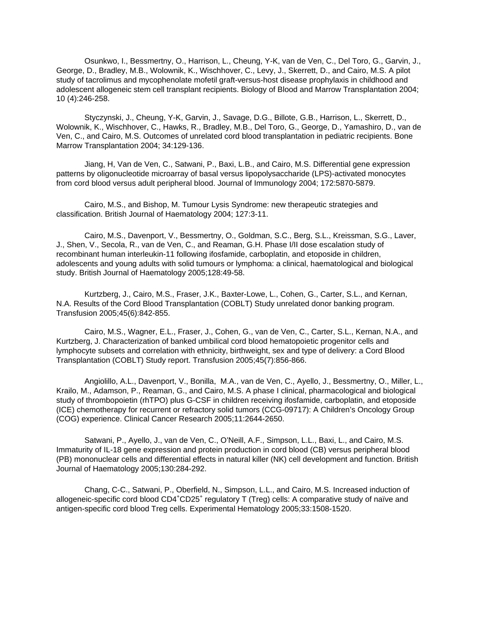Osunkwo, I., Bessmertny, O., Harrison, L., Cheung, Y-K, van de Ven, C., Del Toro, G., Garvin, J., George, D., Bradley, M.B., Wolownik, K., Wischhover, C., Levy, J., Skerrett, D., and Cairo, M.S. A pilot study of tacrolimus and mycophenolate mofetil graft-versus-host disease prophylaxis in childhood and adolescent allogeneic stem cell transplant recipients. Biology of Blood and Marrow Transplantation 2004; 10 (4):246-258.

 Styczynski, J., Cheung, Y-K, Garvin, J., Savage, D.G., Billote, G.B., Harrison, L., Skerrett, D., Wolownik, K., Wischhover, C., Hawks, R., Bradley, M.B., Del Toro, G., George, D., Yamashiro, D., van de Ven, C., and Cairo, M.S. Outcomes of unrelated cord blood transplantation in pediatric recipients. Bone Marrow Transplantation 2004; 34:129-136.

 Jiang, H, Van de Ven, C., Satwani, P., Baxi, L.B., and Cairo, M.S. Differential gene expression patterns by oligonucleotide microarray of basal versus lipopolysaccharide (LPS)-activated monocytes from cord blood versus adult peripheral blood. Journal of Immunology 2004; 172:5870-5879.

 Cairo, M.S., and Bishop, M. Tumour Lysis Syndrome: new therapeutic strategies and classification. British Journal of Haematology 2004; 127:3-11.

 Cairo, M.S., Davenport, V., Bessmertny, O., Goldman, S.C., Berg, S.L., Kreissman, S.G., Laver, J., Shen, V., Secola, R., van de Ven, C., and Reaman, G.H. Phase I/II dose escalation study of recombinant human interleukin-11 following ifosfamide, carboplatin, and etoposide in children, adolescents and young adults with solid tumours or lymphoma: a clinical, haematological and biological study. British Journal of Haematology 2005;128:49-58.

 Kurtzberg, J., Cairo, M.S., Fraser, J.K., Baxter-Lowe, L., Cohen, G., Carter, S.L., and Kernan, N.A. Results of the Cord Blood Transplantation (COBLT) Study unrelated donor banking program. Transfusion 2005;45(6):842-855.

 Cairo, M.S., Wagner, E.L., Fraser, J., Cohen, G., van de Ven, C., Carter, S.L., Kernan, N.A., and Kurtzberg, J. Characterization of banked umbilical cord blood hematopoietic progenitor cells and lymphocyte subsets and correlation with ethnicity, birthweight, sex and type of delivery: a Cord Blood Transplantation (COBLT) Study report. Transfusion 2005;45(7):856-866.

 Angiolillo, A.L., Davenport, V., Bonilla, M.A., van de Ven, C., Ayello, J., Bessmertny, O., Miller, L., Krailo, M., Adamson, P., Reaman, G., and Cairo, M.S. A phase I clinical, pharmacological and biological study of thrombopoietin (rhTPO) plus G-CSF in children receiving ifosfamide, carboplatin, and etoposide (ICE) chemotherapy for recurrent or refractory solid tumors (CCG-09717): A Children's Oncology Group (COG) experience. Clinical Cancer Research 2005;11:2644-2650.

 Satwani, P., Ayello, J., van de Ven, C., O'Neill, A.F., Simpson, L.L., Baxi, L., and Cairo, M.S. Immaturity of IL-18 gene expression and protein production in cord blood (CB) versus peripheral blood (PB) mononuclear cells and differential effects in natural killer (NK) cell development and function. British Journal of Haematology 2005;130:284-292.

 Chang, C-C., Satwani, P., Oberfield, N., Simpson, L.L., and Cairo, M.S. Increased induction of allogeneic-specific cord blood CD4<sup>+</sup>CD25<sup>+</sup> regulatory T (Treg) cells: A comparative study of naïve and antigen-specific cord blood Treg cells. Experimental Hematology 2005;33:1508-1520.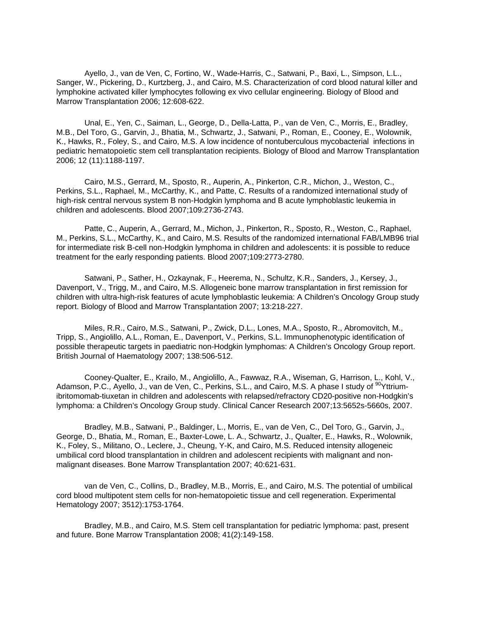Ayello, J., van de Ven, C, Fortino, W., Wade-Harris, C., Satwani, P., Baxi, L., Simpson, L.L., Sanger, W., Pickering, D., Kurtzberg, J., and Cairo, M.S. Characterization of cord blood natural killer and lymphokine activated killer lymphocytes following ex vivo cellular engineering. Biology of Blood and Marrow Transplantation 2006; 12:608-622.

 Unal, E., Yen, C., Saiman, L., George, D., Della-Latta, P., van de Ven, C., Morris, E., Bradley, M.B., Del Toro, G., Garvin, J., Bhatia, M., Schwartz, J., Satwani, P., Roman, E., Cooney, E., Wolownik, K., Hawks, R., Foley, S., and Cairo, M.S. A low incidence of nontuberculous mycobacterial infections in pediatric hematopoietic stem cell transplantation recipients. Biology of Blood and Marrow Transplantation 2006; 12 (11):1188-1197.

 Cairo, M.S., Gerrard, M., Sposto, R., Auperin, A., Pinkerton, C.R., Michon, J., Weston, C., Perkins, S.L., Raphael, M., McCarthy, K., and Patte, C. Results of a randomized international study of high-risk central nervous system B non-Hodgkin lymphoma and B acute lymphoblastic leukemia in children and adolescents. Blood 2007;109:2736-2743.

Patte, C., Auperin, A., Gerrard, M., Michon, J., Pinkerton, R., Sposto, R., Weston, C., Raphael, M., Perkins, S.L., McCarthy, K., and Cairo, M.S. Results of the randomized international FAB/LMB96 trial for intermediate risk B-cell non-Hodgkin lymphoma in children and adolescents: it is possible to reduce treatment for the early responding patients. Blood 2007;109:2773-2780.

Satwani, P., Sather, H., Ozkaynak, F., Heerema, N., Schultz, K.R., Sanders, J., Kersey, J., Davenport, V., Trigg, M., and Cairo, M.S. Allogeneic bone marrow transplantation in first remission for children with ultra-high-risk features of acute lymphoblastic leukemia: A Children's Oncology Group study report. Biology of Blood and Marrow Transplantation 2007; 13:218-227.

 Miles, R.R., Cairo, M.S., Satwani, P., Zwick, D.L., Lones, M.A., Sposto, R., Abromovitch, M., Tripp, S., Angiolillo, A.L., Roman, E., Davenport, V., Perkins, S.L. Immunophenotypic identification of possible therapeutic targets in paediatric non-Hodgkin lymphomas: A Children's Oncology Group report. British Journal of Haematology 2007; 138:506-512.

 Cooney-Qualter, E., Krailo, M., Angiolillo, A., Fawwaz, R.A., Wiseman, G, Harrison, L., Kohl, V., Adamson, P.C., Ayello, J., van de Ven, C., Perkins, S.L., and Cairo, M.S. A phase I study of <sup>90</sup>Yttriumibritomomab-tiuxetan in children and adolescents with relapsed/refractory CD20-positive non-Hodgkin's lymphoma: a Children's Oncology Group study. Clinical Cancer Research 2007;13:5652s-5660s, 2007.

 Bradley, M.B., Satwani, P., Baldinger, L., Morris, E., van de Ven, C., Del Toro, G., Garvin, J., George, D., Bhatia, M., Roman, E., Baxter-Lowe, L. A., Schwartz, J., Qualter, E., Hawks, R., Wolownik, K., Foley, S., Militano, O., Leclere, J., Cheung, Y-K, and Cairo, M.S. Reduced intensity allogeneic umbilical cord blood transplantation in children and adolescent recipients with malignant and nonmalignant diseases. Bone Marrow Transplantation 2007; 40:621-631.

 van de Ven, C., Collins, D., Bradley, M.B., Morris, E., and Cairo, M.S. The potential of umbilical cord blood multipotent stem cells for non-hematopoietic tissue and cell regeneration. Experimental Hematology 2007; 3512):1753-1764.

 Bradley, M.B., and Cairo, M.S. Stem cell transplantation for pediatric lymphoma: past, present and future. Bone Marrow Transplantation 2008; 41(2):149-158.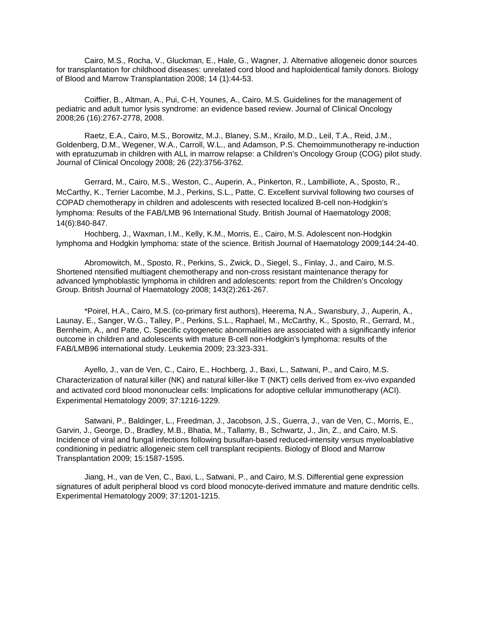Cairo, M.S., Rocha, V., Gluckman, E., Hale, G., Wagner, J. Alternative allogeneic donor sources for transplantation for childhood diseases: unrelated cord blood and haploidentical family donors. Biology of Blood and Marrow Transplantation 2008; 14 (1):44-53.

 Coiffier, B., Altman, A., Pui, C-H, Younes, A., Cairo, M.S. Guidelines for the management of pediatric and adult tumor lysis syndrome: an evidence based review. Journal of Clinical Oncology 2008;26 (16):2767-2778, 2008.

 Raetz, E.A., Cairo, M.S., Borowitz, M.J., Blaney, S.M., Krailo, M.D., Leil, T.A., Reid, J.M., Goldenberg, D.M., Wegener, W.A., Carroll, W.L., and Adamson, P.S. Chemoimmunotherapy re-induction with epratuzumab in children with ALL in marrow relapse: a Children's Oncology Group (COG) pilot study. Journal of Clinical Oncology 2008; 26 (22):3756-3762.

 Gerrard, M., Cairo, M.S., Weston, C., Auperin, A., Pinkerton, R., Lambilliote, A., Sposto, R., McCarthy, K., Terrier Lacombe, M.J., Perkins, S.L., Patte, C. Excellent survival following two courses of COPAD chemotherapy in children and adolescents with resected localized B-cell non-Hodgkin's lymphoma: Results of the FAB/LMB 96 International Study. British Journal of Haematology 2008; 14(6):840-847.

 Hochberg, J., Waxman, I.M., Kelly, K.M., Morris, E., Cairo, M.S. Adolescent non-Hodgkin lymphoma and Hodgkin lymphoma: state of the science. British Journal of Haematology 2009;144:24-40.

 Abromowitch, M., Sposto, R., Perkins, S., Zwick, D., Siegel, S., Finlay, J., and Cairo, M.S. Shortened ntensified multiagent chemotherapy and non-cross resistant maintenance therapy for advanced lymphoblastic lymphoma in children and adolescents: report from the Children's Oncology Group. British Journal of Haematology 2008; 143(2):261-267.

 \*Poirel, H.A., Cairo, M.S. (co-primary first authors), Heerema, N.A., Swansbury, J., Auperin, A., Launay, E., Sanger, W.G., Talley, P., Perkins, S.L., Raphael, M., McCarthy, K., Sposto, R., Gerrard, M., Bernheim, A., and Patte, C. Specific cytogenetic abnormalities are associated with a significantly inferior outcome in children and adolescents with mature B-cell non-Hodgkin's lymphoma: results of the FAB/LMB96 international study. Leukemia 2009; 23:323-331.

 Ayello, J., van de Ven, C., Cairo, E., Hochberg, J., Baxi, L., Satwani, P., and Cairo, M.S. Characterization of natural killer (NK) and natural killer-like T (NKT) cells derived from ex-vivo expanded and activated cord blood mononuclear cells: Implications for adoptive cellular immunotherapy (ACI). Experimental Hematology 2009; 37:1216-1229.

 Satwani, P., Baldinger, L., Freedman, J., Jacobson, J.S., Guerra, J., van de Ven, C., Morris, E., Garvin, J., George, D., Bradley, M.B., Bhatia, M., Tallamy, B., Schwartz, J., Jin, Z., and Cairo, M.S. Incidence of viral and fungal infections following busulfan-based reduced-intensity versus myeloablative conditioning in pediatric allogeneic stem cell transplant recipients. Biology of Blood and Marrow Transplantation 2009; 15:1587-1595.

 Jiang, H., van de Ven, C., Baxi, L., Satwani, P., and Cairo, M.S. Differential gene expression signatures of adult peripheral blood vs cord blood monocyte-derived immature and mature dendritic cells. Experimental Hematology 2009; 37:1201-1215.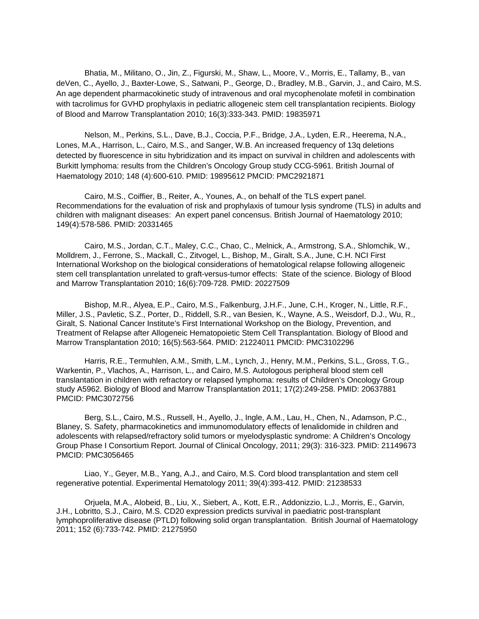Bhatia, M., Militano, O., Jin, Z., Figurski, M., Shaw, L., Moore, V., Morris, E., Tallamy, B., van deVen, C., Ayello, J., Baxter-Lowe, S., Satwani, P., George, D., Bradley, M.B., Garvin, J., and Cairo, M.S. An age dependent pharmacokinetic study of intravenous and oral mycophenolate mofetil in combination with tacrolimus for GVHD prophylaxis in pediatric allogeneic stem cell transplantation recipients. Biology of Blood and Marrow Transplantation 2010; 16(3):333-343. PMID: 19835971

 Nelson, M., Perkins, S.L., Dave, B.J., Coccia, P.F., Bridge, J.A., Lyden, E.R., Heerema, N.A., Lones, M.A., Harrison, L., Cairo, M.S., and Sanger, W.B. An increased frequency of 13q deletions detected by fluorescence in situ hybridization and its impact on survival in children and adolescents with Burkitt lymphoma: results from the Children's Oncology Group study CCG-5961. British Journal of Haematology 2010; 148 (4):600-610. PMID: 19895612 PMCID: PMC2921871

 Cairo, M.S., Coiffier, B., Reiter, A., Younes, A., on behalf of the TLS expert panel. Recommendations for the evaluation of risk and prophylaxis of tumour lysis syndrome (TLS) in adults and children with malignant diseases: An expert panel concensus. British Journal of Haematology 2010; 149(4):578-586. PMID: 20331465

 Cairo, M.S., Jordan, C.T., Maley, C.C., Chao, C., Melnick, A., Armstrong, S.A., Shlomchik, W., Molldrem, J., Ferrone, S., Mackall, C., Zitvogel, L., Bishop, M., Giralt, S.A., June, C.H. NCI First International Workshop on the biological considerations of hematological relapse following allogeneic stem cell transplantation unrelated to graft-versus-tumor effects: State of the science. Biology of Blood and Marrow Transplantation 2010; 16(6):709-728. PMID: 20227509

 Bishop, M.R., Alyea, E.P., Cairo, M.S., Falkenburg, J.H.F., June, C.H., Kroger, N., Little, R.F., Miller, J.S., Pavletic, S.Z., Porter, D., Riddell, S.R., van Besien, K., Wayne, A.S., Weisdorf, D.J., Wu, R., Giralt, S. National Cancer Institute's First International Workshop on the Biology, Prevention, and Treatment of Relapse after Allogeneic Hematopoietic Stem Cell Transplantation. Biology of Blood and Marrow Transplantation 2010; 16(5):563-564. PMID: 21224011 PMCID: PMC3102296

 Harris, R.E., Termuhlen, A.M., Smith, L.M., Lynch, J., Henry, M.M., Perkins, S.L., Gross, T.G., Warkentin, P., Vlachos, A., Harrison, L., and Cairo, M.S. Autologous peripheral blood stem cell translantation in children with refractory or relapsed lymphoma: results of Children's Oncology Group study A5962. Biology of Blood and Marrow Transplantation 2011; 17(2):249-258. PMID: 20637881 PMCID: PMC3072756

 Berg, S.L., Cairo, M.S., Russell, H., Ayello, J., Ingle, A.M., Lau, H., Chen, N., Adamson, P.C., Blaney, S. Safety, pharmacokinetics and immunomodulatory effects of lenalidomide in children and adolescents with relapsed/refractory solid tumors or myelodysplastic syndrome: A Children's Oncology Group Phase I Consortium Report. Journal of Clinical Oncology, 2011; 29(3): 316-323. PMID: 21149673 PMCID: PMC3056465

 Liao, Y., Geyer, M.B., Yang, A.J., and Cairo, M.S. Cord blood transplantation and stem cell regenerative potential. Experimental Hematology 2011; 39(4):393-412. PMID: 21238533

 Orjuela, M.A., Alobeid, B., Liu, X., Siebert, A., Kott, E.R., Addonizzio, L.J., Morris, E., Garvin, J.H., Lobritto, S.J., Cairo, M.S. CD20 expression predicts survival in paediatric post-transplant lymphoproliferative disease (PTLD) following solid organ transplantation. British Journal of Haematology 2011; 152 (6):733-742. PMID: 21275950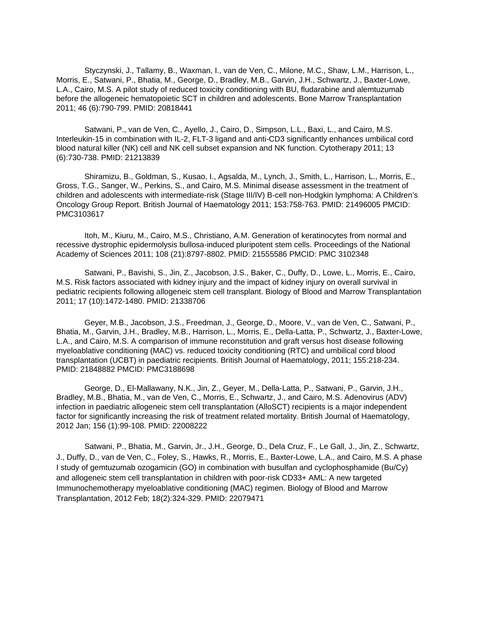Styczynski, J., Tallamy, B., Waxman, I., van de Ven, C., Milone, M.C., Shaw, L.M., Harrison, L., Morris, E., Satwani, P., Bhatia, M., George, D., Bradley, M.B., Garvin, J.H., Schwartz, J., Baxter-Lowe, L.A., Cairo, M.S. A pilot study of reduced toxicity conditioning with BU, fludarabine and alemtuzumab before the allogeneic hematopoietic SCT in children and adolescents. Bone Marrow Transplantation 2011; 46 (6):790-799. PMID: 20818441

 Satwani, P., van de Ven, C., Ayello, J., Cairo, D., Simpson, L.L., Baxi, L., and Cairo, M.S. Interleukin-15 in combination with IL-2, FLT-3 ligand and anti-CD3 significantly enhances umbilical cord blood natural killer (NK) cell and NK cell subset expansion and NK function. Cytotherapy 2011; 13 (6):730-738. PMID: 21213839

 Shiramizu, B., Goldman, S., Kusao, I., Agsalda, M., Lynch, J., Smith, L., Harrison, L., Morris, E., Gross, T.G., Sanger, W., Perkins, S., and Cairo, M.S. Minimal disease assessment in the treatment of children and adolescents with intermediate-risk (Stage III/IV) B-cell non-Hodgkin lymphoma: A Children's Oncology Group Report. British Journal of Haematology 2011; 153:758-763. PMID: 21496005 PMCID: PMC3103617

 Itoh, M., Kiuru, M., Cairo, M.S., Christiano, A.M. Generation of keratinocytes from normal and recessive dystrophic epidermolysis bullosa-induced pluripotent stem cells. Proceedings of the National Academy of Sciences 2011; 108 (21):8797-8802. PMID: 21555586 PMCID: PMC 3102348

 Satwani, P., Bavishi, S., Jin, Z., Jacobson, J.S., Baker, C., Duffy, D., Lowe, L., Morris, E., Cairo, M.S. Risk factors associated with kidney injury and the impact of kidney injury on overall survival in pediatric recipients following allogeneic stem cell transplant. Biology of Blood and Marrow Transplantation 2011; 17 (10):1472-1480. PMID: 21338706

 Geyer, M.B., Jacobson, J.S., Freedman, J., George, D., Moore, V., van de Ven, C., Satwani, P., Bhatia, M., Garvin, J.H., Bradley, M.B., Harrison, L., Morris, E., Della-Latta, P., Schwartz, J., Baxter-Lowe, L.A., and Cairo, M.S. A comparison of immune reconstitution and graft versus host disease following myeloablative conditioning (MAC) vs. reduced toxicity conditioning (RTC) and umbilical cord blood transplantation (UCBT) in paediatric recipients. British Journal of Haematology, 2011; 155:218-234. PMID: 21848882 PMCID: PMC3188698

 George, D., El-Mallawany, N.K., Jin, Z., Geyer, M., Della-Latta, P., Satwani, P., Garvin, J.H., Bradley, M.B., Bhatia, M., van de Ven, C., Morris, E., Schwartz, J., and Cairo, M.S. Adenovirus (ADV) infection in paediatric allogeneic stem cell transplantation (AlloSCT) recipients is a major independent factor for significantly increasing the risk of treatment related mortality. British Journal of Haematology, 2012 Jan; 156 (1):99-108. PMID: 22008222

 Satwani, P., Bhatia, M., Garvin, Jr., J.H., George, D., Dela Cruz, F., Le Gall, J., Jin, Z., Schwartz, J., Duffy, D., van de Ven, C., Foley, S., Hawks, R., Morris, E., Baxter-Lowe, L.A., and Cairo, M.S. A phase I study of gemtuzumab ozogamicin (GO) in combination with busulfan and cyclophosphamide (Bu/Cy) and allogeneic stem cell transplantation in children with poor-risk CD33+ AML: A new targeted Immunochemotherapy myeloablative conditioning (MAC) regimen. Biology of Blood and Marrow Transplantation, 2012 Feb; 18(2):324-329. PMID: 22079471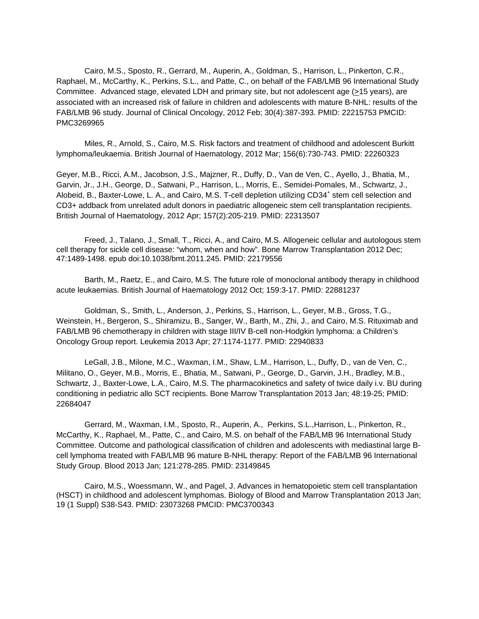Cairo, M.S., Sposto, R., Gerrard, M., Auperin, A., Goldman, S., Harrison, L., Pinkerton, C.R., Raphael, M., McCarthy, K., Perkins, S.L., and Patte, C., on behalf of the FAB/LMB 96 International Study Committee. Advanced stage, elevated LDH and primary site, but not adolescent age (>15 years), are associated with an increased risk of failure in children and adolescents with mature B-NHL: results of the FAB/LMB 96 study. Journal of Clinical Oncology, 2012 Feb; 30(4):387-393. PMID: 22215753 PMCID: PMC3269965

 Miles, R., Arnold, S., Cairo, M.S. Risk factors and treatment of childhood and adolescent Burkitt lymphoma/leukaemia. British Journal of Haematology, 2012 Mar; 156(6):730-743. PMID: 22260323

Geyer, M.B., Ricci, A.M., Jacobson, J.S., Majzner, R., Duffy, D., Van de Ven, C., Ayello, J., Bhatia, M., Garvin, Jr., J.H., George, D., Satwani, P., Harrison, L., Morris, E., Semidei-Pomales, M., Schwartz, J., Alobeid, B., Baxter-Lowe, L. A., and Cairo, M.S. T-cell depletion utilizing CD34<sup>+</sup> stem cell selection and CD3+ addback from unrelated adult donors in paediatric allogeneic stem cell transplantation recipients. British Journal of Haematology, 2012 Apr; 157(2):205-219. PMID: 22313507

 Freed, J., Talano, J., Small, T., Ricci, A., and Cairo, M.S. Allogeneic cellular and autologous stem cell therapy for sickle cell disease: "whom, when and how". Bone Marrow Transplantation 2012 Dec; 47:1489-1498. epub doi:10.1038/bmt.2011.245. PMID: 22179556

 Barth, M., Raetz, E., and Cairo, M.S. The future role of monoclonal antibody therapy in childhood acute leukaemias. British Journal of Haematology 2012 Oct; 159:3-17. PMID: 22881237

 Goldman, S., Smith, L., Anderson, J., Perkins, S., Harrison, L., Geyer, M.B., Gross, T.G., Weinstein, H., Bergeron, S., Shiramizu, B., Sanger, W., Barth, M., Zhi, J., and Cairo, M.S. Rituximab and FAB/LMB 96 chemotherapy in children with stage III/IV B-cell non-Hodgkin lymphoma: a Children's Oncology Group report. Leukemia 2013 Apr; 27:1174-1177. PMID: 22940833

 LeGall, J.B., Milone, M.C., Waxman, I.M., Shaw, L.M., Harrison, L., Duffy, D., van de Ven, C., Militano, O., Geyer, M.B., Morris, E., Bhatia, M., Satwani, P., George, D., Garvin, J.H., Bradley, M.B., Schwartz, J., Baxter-Lowe, L.A., Cairo, M.S. The pharmacokinetics and safety of twice daily i.v. BU during conditioning in pediatric allo SCT recipients. Bone Marrow Transplantation 2013 Jan; 48:19-25; PMID: 22684047

Gerrard, M., Waxman, I.M., Sposto, R., Auperin, A., Perkins, S.L.,Harrison, L., Pinkerton, R., McCarthy, K., Raphael, M., Patte, C., and Cairo, M.S. on behalf of the FAB/LMB 96 International Study Committee. Outcome and pathological classification of children and adolescents with mediastinal large Bcell lymphoma treated with FAB/LMB 96 mature B-NHL therapy: Report of the FAB/LMB 96 International Study Group. Blood 2013 Jan; 121:278-285. PMID: 23149845

 Cairo, M.S., Woessmann, W., and Pagel, J. Advances in hematopoietic stem cell transplantation (HSCT) in childhood and adolescent lymphomas. Biology of Blood and Marrow Transplantation 2013 Jan; 19 (1 Suppl) S38-S43. PMID: 23073268 PMCID: PMC3700343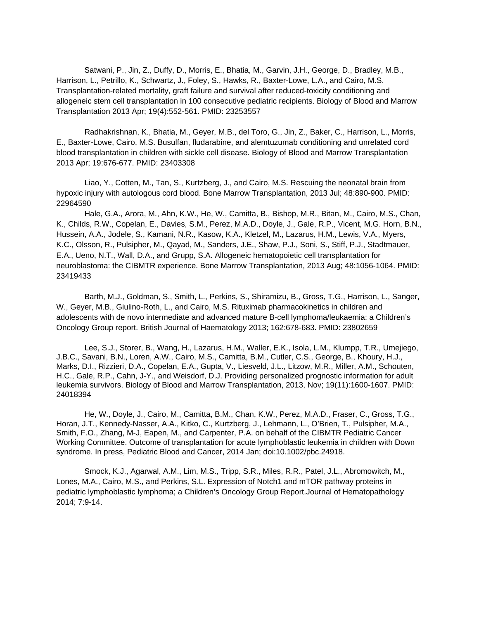Satwani, P., Jin, Z., Duffy, D., Morris, E., Bhatia, M., Garvin, J.H., George, D., Bradley, M.B., Harrison, L., Petrillo, K., Schwartz, J., Foley, S., Hawks, R., Baxter-Lowe, L.A., and Cairo, M.S. Transplantation-related mortality, graft failure and survival after reduced-toxicity conditioning and allogeneic stem cell transplantation in 100 consecutive pediatric recipients. Biology of Blood and Marrow Transplantation 2013 Apr; 19(4):552-561. PMID: 23253557

 Radhakrishnan, K., Bhatia, M., Geyer, M.B., del Toro, G., Jin, Z., Baker, C., Harrison, L., Morris, E., Baxter-Lowe, Cairo, M.S. Busulfan, fludarabine, and alemtuzumab conditioning and unrelated cord blood transplantation in children with sickle cell disease. Biology of Blood and Marrow Transplantation 2013 Apr; 19:676-677. PMID: 23403308

 Liao, Y., Cotten, M., Tan, S., Kurtzberg, J., and Cairo, M.S. Rescuing the neonatal brain from hypoxic injury with autologous cord blood. Bone Marrow Transplantation, 2013 Jul; 48:890-900. PMID: 22964590

 Hale, G.A., Arora, M., Ahn, K.W., He, W., Camitta, B., Bishop, M.R., Bitan, M., Cairo, M.S., Chan, K., Childs, R.W., Copelan, E., Davies, S.M., Perez, M.A.D., Doyle, J., Gale, R.P., Vicent, M.G. Horn, B.N., Hussein, A.A., Jodele, S., Kamani, N.R., Kasow, K.A., Kletzel, M., Lazarus, H.M., Lewis, V.A., Myers, K.C., Olsson, R., Pulsipher, M., Qayad, M., Sanders, J.E., Shaw, P.J., Soni, S., Stiff, P.J., Stadtmauer, E.A., Ueno, N.T., Wall, D.A., and Grupp, S.A. Allogeneic hematopoietic cell transplantation for neuroblastoma: the CIBMTR experience. Bone Marrow Transplantation, 2013 Aug; 48:1056-1064. PMID: 23419433

 Barth, M.J., Goldman, S., Smith, L., Perkins, S., Shiramizu, B., Gross, T.G., Harrison, L., Sanger, W., Geyer, M.B., Giulino-Roth, L., and Cairo, M.S. Rituximab pharmacokinetics in children and adolescents with de novo intermediate and advanced mature B-cell lymphoma/leukaemia: a Children's Oncology Group report. British Journal of Haematology 2013; 162:678-683. PMID: 23802659

 Lee, S.J., Storer, B., Wang, H., Lazarus, H.M., Waller, E.K., Isola, L.M., Klumpp, T.R., Umejiego, J.B.C., Savani, B.N., Loren, A.W., Cairo, M.S., Camitta, B.M., Cutler, C.S., George, B., Khoury, H.J., Marks, D.I., Rizzieri, D.A., Copelan, E.A., Gupta, V., Liesveld, J.L., Litzow, M.R., Miller, A.M., Schouten, H.C., Gale, R.P., Cahn, J-Y., and Weisdorf, D.J. Providing personalized prognostic information for adult leukemia survivors. Biology of Blood and Marrow Transplantation, 2013, Nov; 19(11):1600-1607. PMID: 24018394

 He, W., Doyle, J., Cairo, M., Camitta, B.M., Chan, K.W., Perez, M.A.D., Fraser, C., Gross, T.G., Horan, J.T., Kennedy-Nasser, A.A., Kitko, C., Kurtzberg, J., Lehmann, L., O'Brien, T., Pulsipher, M.A., Smith, F.O., Zhang, M-J, Eapen, M., and Carpenter, P.A. on behalf of the CIBMTR Pediatric Cancer Working Committee. Outcome of transplantation for acute lymphoblastic leukemia in children with Down syndrome. In press, Pediatric Blood and Cancer, 2014 Jan; doi:10.1002/pbc.24918.

 Smock, K.J., Agarwal, A.M., Lim, M.S., Tripp, S.R., Miles, R.R., Patel, J.L., Abromowitch, M., Lones, M.A., Cairo, M.S., and Perkins, S.L. Expression of Notch1 and mTOR pathway proteins in pediatric lymphoblastic lymphoma; a Children's Oncology Group Report.Journal of Hematopathology 2014; 7:9-14.